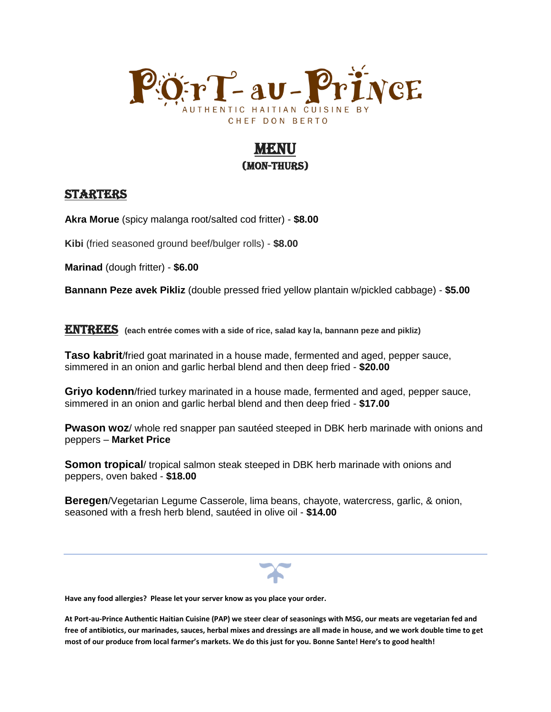

# MENNI I (Mon-Thurs)

## **STARTERS**

**Akra Morue** (spicy malanga root/salted cod fritter) - **\$8.00**

**Kibi** (fried seasoned ground beef/bulger rolls) - **\$8.00**

**Marinad** (dough fritter) - **\$6.00**

**Bannann Peze avek Pikliz** (double pressed fried yellow plantain w/pickled cabbage) - **\$5.00**

**ENTREES** (each entrée comes with a side of rice, salad kay la, bannann peze and pikliz)

**Taso kabrit**/fried goat marinated in a house made, fermented and aged, pepper sauce, simmered in an onion and garlic herbal blend and then deep fried - **\$20.00**

**Griyo kodenn**/fried turkey marinated in a house made, fermented and aged, pepper sauce, simmered in an onion and garlic herbal blend and then deep fried - **\$17.00** 

**Pwason woz**/ whole red snapper pan sautéed steeped in DBK herb marinade with onions and peppers – **Market Price**

**Somon tropical**/ tropical salmon steak steeped in DBK herb marinade with onions and peppers, oven baked - **\$18.00**

**Beregen**/Vegetarian Legume Casserole, lima beans, chayote, watercress, garlic, & onion, seasoned with a fresh herb blend, sautéed in olive oil - **\$14.00**

**Have any food allergies? Please let your server know as you place your order.** 

**At Port-au-Prince Authentic Haitian Cuisine (PAP) we steer clear of seasonings with MSG, our meats are vegetarian fed and free of antibiotics, our marinades, sauces, herbal mixes and dressings are all made in house, and we work double time to get most of our produce from local farmer's markets. We do this just for you. Bonne Sante! Here's to good health!**